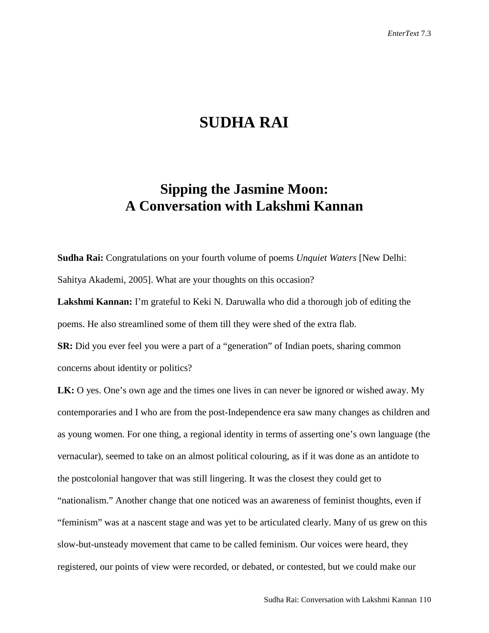## **SUDHA RAI**

## **Sipping the Jasmine Moon: A Conversation with Lakshmi Kannan**

**Sudha Rai:** Congratulations on your fourth volume of poems *Unquiet Waters* [New Delhi: Sahitya Akademi, 2005]. What are your thoughts on this occasion?

**Lakshmi Kannan:** I'm grateful to Keki N. Daruwalla who did a thorough job of editing the poems. He also streamlined some of them till they were shed of the extra flab.

**SR:** Did you ever feel you were a part of a "generation" of Indian poets, sharing common concerns about identity or politics?

**LK:** O yes. One's own age and the times one lives in can never be ignored or wished away. My contemporaries and I who are from the post-Independence era saw many changes as children and as young women. For one thing, a regional identity in terms of asserting one's own language (the vernacular), seemed to take on an almost political colouring, as if it was done as an antidote to the postcolonial hangover that was still lingering. It was the closest they could get to "nationalism." Another change that one noticed was an awareness of feminist thoughts, even if "feminism" was at a nascent stage and was yet to be articulated clearly. Many of us grew on this slow-but-unsteady movement that came to be called feminism. Our voices were heard, they registered, our points of view were recorded, or debated, or contested, but we could make our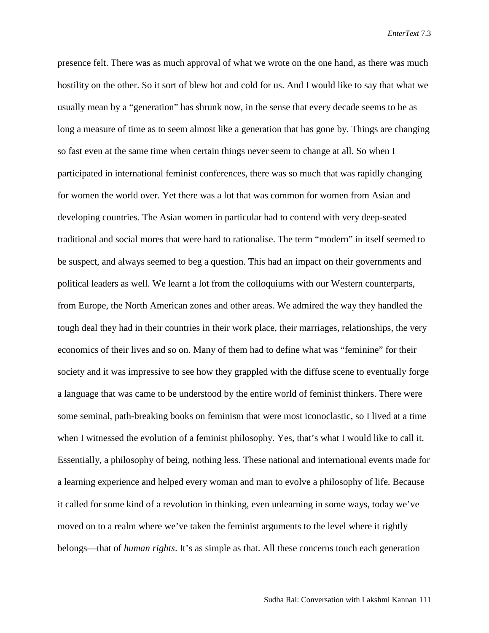presence felt. There was as much approval of what we wrote on the one hand, as there was much hostility on the other. So it sort of blew hot and cold for us. And I would like to say that what we usually mean by a "generation" has shrunk now, in the sense that every decade seems to be as long a measure of time as to seem almost like a generation that has gone by. Things are changing so fast even at the same time when certain things never seem to change at all. So when I participated in international feminist conferences, there was so much that was rapidly changing for women the world over. Yet there was a lot that was common for women from Asian and developing countries. The Asian women in particular had to contend with very deep-seated traditional and social mores that were hard to rationalise. The term "modern" in itself seemed to be suspect, and always seemed to beg a question. This had an impact on their governments and political leaders as well. We learnt a lot from the colloquiums with our Western counterparts, from Europe, the North American zones and other areas. We admired the way they handled the tough deal they had in their countries in their work place, their marriages, relationships, the very economics of their lives and so on. Many of them had to define what was "feminine" for their society and it was impressive to see how they grappled with the diffuse scene to eventually forge a language that was came to be understood by the entire world of feminist thinkers. There were some seminal, path-breaking books on feminism that were most iconoclastic, so I lived at a time when I witnessed the evolution of a feminist philosophy. Yes, that's what I would like to call it. Essentially, a philosophy of being, nothing less. These national and international events made for a learning experience and helped every woman and man to evolve a philosophy of life. Because it called for some kind of a revolution in thinking, even unlearning in some ways, today we've moved on to a realm where we've taken the feminist arguments to the level where it rightly belongs—that of *human rights*. It's as simple as that. All these concerns touch each generation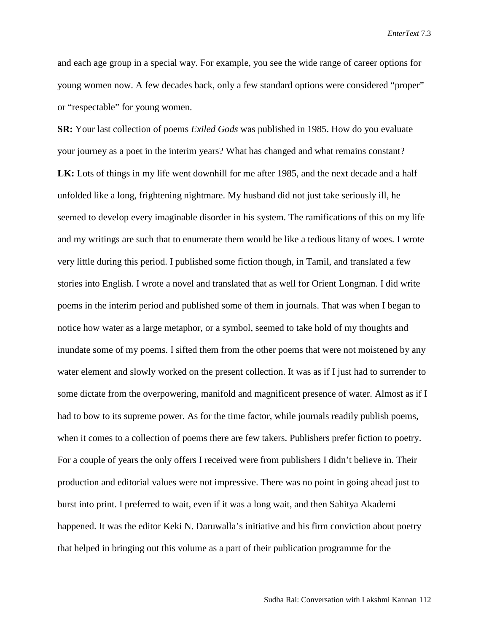and each age group in a special way. For example, you see the wide range of career options for young women now. A few decades back, only a few standard options were considered "proper" or "respectable" for young women.

**SR:** Your last collection of poems *Exiled Gods* was published in 1985. How do you evaluate your journey as a poet in the interim years? What has changed and what remains constant? **LK:** Lots of things in my life went downhill for me after 1985, and the next decade and a half unfolded like a long, frightening nightmare. My husband did not just take seriously ill, he seemed to develop every imaginable disorder in his system. The ramifications of this on my life and my writings are such that to enumerate them would be like a tedious litany of woes. I wrote very little during this period. I published some fiction though, in Tamil, and translated a few stories into English. I wrote a novel and translated that as well for Orient Longman. I did write poems in the interim period and published some of them in journals. That was when I began to notice how water as a large metaphor, or a symbol, seemed to take hold of my thoughts and inundate some of my poems. I sifted them from the other poems that were not moistened by any water element and slowly worked on the present collection. It was as if I just had to surrender to some dictate from the overpowering, manifold and magnificent presence of water. Almost as if I had to bow to its supreme power. As for the time factor, while journals readily publish poems, when it comes to a collection of poems there are few takers. Publishers prefer fiction to poetry. For a couple of years the only offers I received were from publishers I didn't believe in. Their production and editorial values were not impressive. There was no point in going ahead just to burst into print. I preferred to wait, even if it was a long wait, and then Sahitya Akademi happened. It was the editor Keki N. Daruwalla's initiative and his firm conviction about poetry that helped in bringing out this volume as a part of their publication programme for the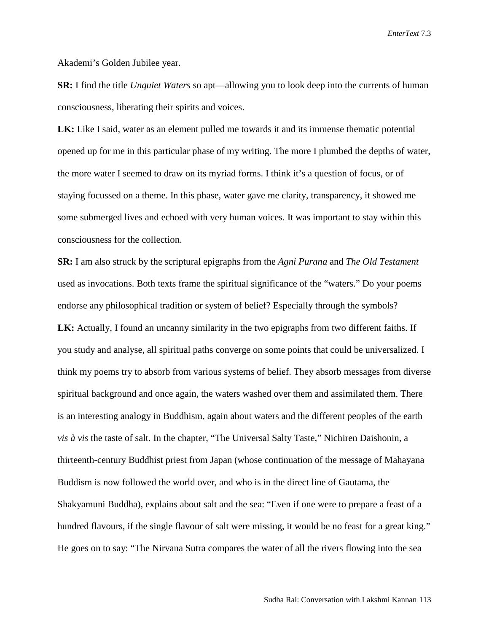Akademi's Golden Jubilee year.

**SR:** I find the title *Unquiet Waters* so apt—allowing you to look deep into the currents of human consciousness, liberating their spirits and voices.

**LK:** Like I said, water as an element pulled me towards it and its immense thematic potential opened up for me in this particular phase of my writing. The more I plumbed the depths of water, the more water I seemed to draw on its myriad forms. I think it's a question of focus, or of staying focussed on a theme. In this phase, water gave me clarity, transparency, it showed me some submerged lives and echoed with very human voices. It was important to stay within this consciousness for the collection.

**SR:** I am also struck by the scriptural epigraphs from the *Agni Purana* and *The Old Testament*  used as invocations. Both texts frame the spiritual significance of the "waters." Do your poems endorse any philosophical tradition or system of belief? Especially through the symbols? **LK:** Actually, I found an uncanny similarity in the two epigraphs from two different faiths. If you study and analyse, all spiritual paths converge on some points that could be universalized. I think my poems try to absorb from various systems of belief. They absorb messages from diverse spiritual background and once again, the waters washed over them and assimilated them. There is an interesting analogy in Buddhism, again about waters and the different peoples of the earth *vis à vis* the taste of salt. In the chapter, "The Universal Salty Taste," Nichiren Daishonin, a thirteenth-century Buddhist priest from Japan (whose continuation of the message of Mahayana Buddism is now followed the world over, and who is in the direct line of Gautama, the Shakyamuni Buddha), explains about salt and the sea: "Even if one were to prepare a feast of a hundred flavours, if the single flavour of salt were missing, it would be no feast for a great king." He goes on to say: "The Nirvana Sutra compares the water of all the rivers flowing into the sea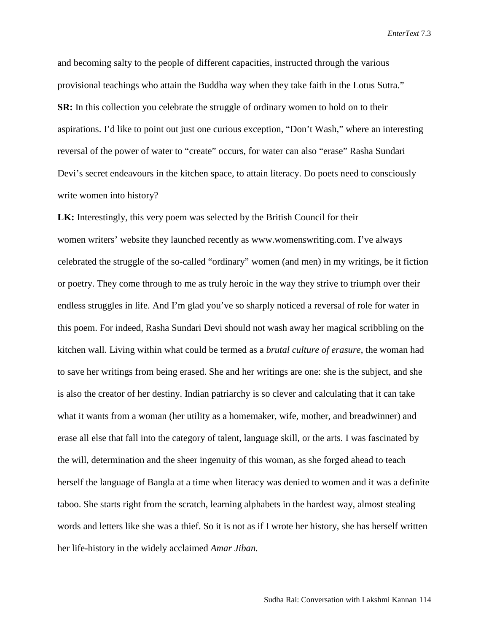and becoming salty to the people of different capacities, instructed through the various provisional teachings who attain the Buddha way when they take faith in the Lotus Sutra." **SR:** In this collection you celebrate the struggle of ordinary women to hold on to their aspirations. I'd like to point out just one curious exception, "Don't Wash," where an interesting reversal of the power of water to "create" occurs, for water can also "erase" Rasha Sundari Devi's secret endeavours in the kitchen space, to attain literacy. Do poets need to consciously write women into history?

**LK:** Interestingly, this very poem was selected by the British Council for their women writers' website they launched recently as [www.womenswriting.com.](http://www.womenswriting.com/) I've always celebrated the struggle of the so-called "ordinary" women (and men) in my writings, be it fiction or poetry. They come through to me as truly heroic in the way they strive to triumph over their endless struggles in life. And I'm glad you've so sharply noticed a reversal of role for water in this poem. For indeed, Rasha Sundari Devi should not wash away her magical scribbling on the kitchen wall. Living within what could be termed as a *brutal culture of erasure*, the woman had to save her writings from being erased. She and her writings are one: she is the subject, and she is also the creator of her destiny. Indian patriarchy is so clever and calculating that it can take what it wants from a woman (her utility as a homemaker, wife, mother, and breadwinner) and erase all else that fall into the category of talent, language skill, or the arts. I was fascinated by the will, determination and the sheer ingenuity of this woman, as she forged ahead to teach herself the language of Bangla at a time when literacy was denied to women and it was a definite taboo. She starts right from the scratch, learning alphabets in the hardest way, almost stealing words and letters like she was a thief. So it is not as if I wrote her history, she has herself written her life-history in the widely acclaimed *Amar Jiban.*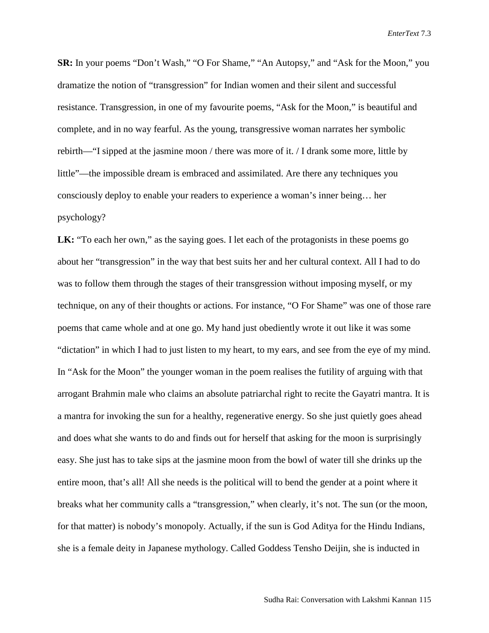**SR:** In your poems "Don't Wash," "O For Shame," "An Autopsy," and "Ask for the Moon," you dramatize the notion of "transgression" for Indian women and their silent and successful resistance. Transgression, in one of my favourite poems, "Ask for the Moon," is beautiful and complete, and in no way fearful. As the young, transgressive woman narrates her symbolic rebirth—"I sipped at the jasmine moon / there was more of it. / I drank some more, little by little"—the impossible dream is embraced and assimilated. Are there any techniques you consciously deploy to enable your readers to experience a woman's inner being… her psychology?

LK: "To each her own," as the saying goes. I let each of the protagonists in these poems go about her "transgression" in the way that best suits her and her cultural context. All I had to do was to follow them through the stages of their transgression without imposing myself, or my technique, on any of their thoughts or actions. For instance, "O For Shame" was one of those rare poems that came whole and at one go. My hand just obediently wrote it out like it was some "dictation" in which I had to just listen to my heart, to my ears, and see from the eye of my mind. In "Ask for the Moon" the younger woman in the poem realises the futility of arguing with that arrogant Brahmin male who claims an absolute patriarchal right to recite the Gayatri mantra. It is a mantra for invoking the sun for a healthy, regenerative energy. So she just quietly goes ahead and does what she wants to do and finds out for herself that asking for the moon is surprisingly easy. She just has to take sips at the jasmine moon from the bowl of water till she drinks up the entire moon, that's all! All she needs is the political will to bend the gender at a point where it breaks what her community calls a "transgression," when clearly, it's not. The sun (or the moon, for that matter) is nobody's monopoly. Actually, if the sun is God Aditya for the Hindu Indians, she is a female deity in Japanese mythology. Called Goddess Tensho Deijin, she is inducted in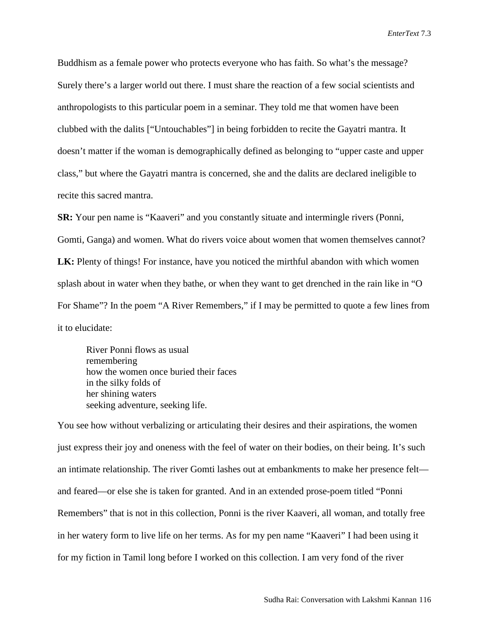Buddhism as a female power who protects everyone who has faith. So what's the message? Surely there's a larger world out there. I must share the reaction of a few social scientists and anthropologists to this particular poem in a seminar. They told me that women have been clubbed with the dalits ["Untouchables"] in being forbidden to recite the Gayatri mantra. It doesn't matter if the woman is demographically defined as belonging to "upper caste and upper class," but where the Gayatri mantra is concerned, she and the dalits are declared ineligible to recite this sacred mantra.

**SR:** Your pen name is "Kaaveri" and you constantly situate and intermingle rivers (Ponni, Gomti, Ganga) and women. What do rivers voice about women that women themselves cannot? **LK:** Plenty of things! For instance, have you noticed the mirthful abandon with which women splash about in water when they bathe, or when they want to get drenched in the rain like in "O For Shame"? In the poem "A River Remembers," if I may be permitted to quote a few lines from it to elucidate:

River Ponni flows as usual remembering how the women once buried their faces in the silky folds of her shining waters seeking adventure, seeking life.

You see how without verbalizing or articulating their desires and their aspirations, the women just express their joy and oneness with the feel of water on their bodies, on their being. It's such an intimate relationship. The river Gomti lashes out at embankments to make her presence felt and feared—or else she is taken for granted. And in an extended prose-poem titled "Ponni Remembers" that is not in this collection, Ponni is the river Kaaveri, all woman, and totally free in her watery form to live life on her terms. As for my pen name "Kaaveri" I had been using it for my fiction in Tamil long before I worked on this collection. I am very fond of the river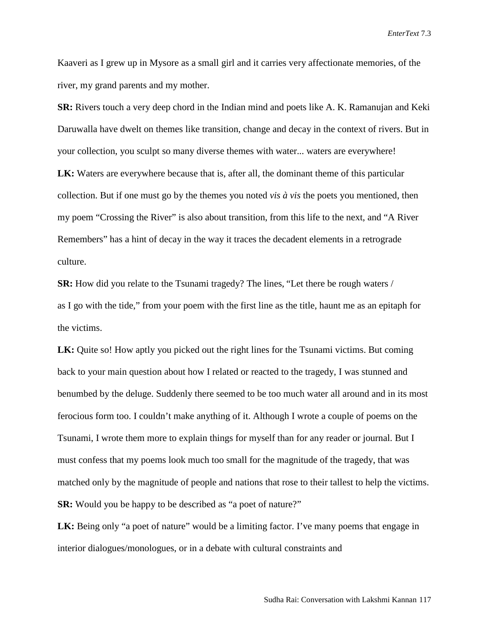Kaaveri as I grew up in Mysore as a small girl and it carries very affectionate memories, of the river, my grand parents and my mother.

**SR:** Rivers touch a very deep chord in the Indian mind and poets like A. K. Ramanujan and Keki Daruwalla have dwelt on themes like transition, change and decay in the context of rivers. But in your collection, you sculpt so many diverse themes with water... waters are everywhere! **LK:** Waters are everywhere because that is, after all, the dominant theme of this particular collection. But if one must go by the themes you noted *vis à vis* the poets you mentioned, then my poem "Crossing the River" is also about transition, from this life to the next, and "A River Remembers" has a hint of decay in the way it traces the decadent elements in a retrograde culture.

**SR:** How did you relate to the Tsunami tragedy? The lines, "Let there be rough waters / as I go with the tide," from your poem with the first line as the title, haunt me as an epitaph for the victims.

**LK:** Quite so! How aptly you picked out the right lines for the Tsunami victims. But coming back to your main question about how I related or reacted to the tragedy, I was stunned and benumbed by the deluge. Suddenly there seemed to be too much water all around and in its most ferocious form too. I couldn't make anything of it. Although I wrote a couple of poems on the Tsunami, I wrote them more to explain things for myself than for any reader or journal. But I must confess that my poems look much too small for the magnitude of the tragedy, that was matched only by the magnitude of people and nations that rose to their tallest to help the victims. **SR:** Would you be happy to be described as "a poet of nature?"

**LK:** Being only "a poet of nature" would be a limiting factor. I've many poems that engage in interior dialogues/monologues, or in a debate with cultural constraints and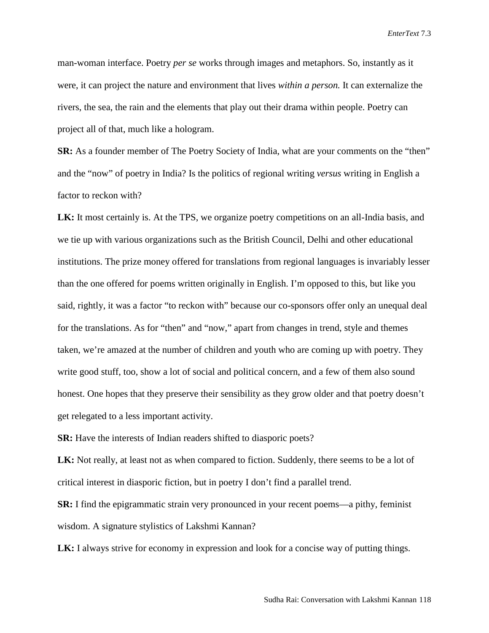man-woman interface. Poetry *per se* works through images and metaphors. So, instantly as it were, it can project the nature and environment that lives *within a person.* It can externalize the rivers, the sea, the rain and the elements that play out their drama within people. Poetry can project all of that, much like a hologram.

**SR:** As a founder member of The Poetry Society of India, what are your comments on the "then" and the "now" of poetry in India? Is the politics of regional writing *versus* writing in English a factor to reckon with?

**LK:** It most certainly is. At the TPS, we organize poetry competitions on an all-India basis, and we tie up with various organizations such as the British Council, Delhi and other educational institutions. The prize money offered for translations from regional languages is invariably lesser than the one offered for poems written originally in English. I'm opposed to this, but like you said, rightly, it was a factor "to reckon with" because our co-sponsors offer only an unequal deal for the translations. As for "then" and "now," apart from changes in trend, style and themes taken, we're amazed at the number of children and youth who are coming up with poetry. They write good stuff, too, show a lot of social and political concern, and a few of them also sound honest. One hopes that they preserve their sensibility as they grow older and that poetry doesn't get relegated to a less important activity.

**SR:** Have the interests of Indian readers shifted to diasporic poets?

**LK:** Not really, at least not as when compared to fiction. Suddenly, there seems to be a lot of critical interest in diasporic fiction, but in poetry I don't find a parallel trend.

**SR:** I find the epigrammatic strain very pronounced in your recent poems—a pithy, feminist wisdom. A signature stylistics of Lakshmi Kannan?

**LK:** I always strive for economy in expression and look for a concise way of putting things.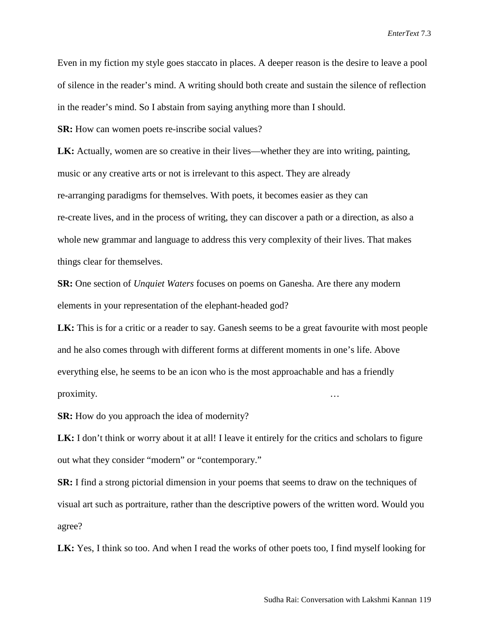Even in my fiction my style goes staccato in places. A deeper reason is the desire to leave a pool of silence in the reader's mind. A writing should both create and sustain the silence of reflection in the reader's mind. So I abstain from saying anything more than I should.

**SR:** How can women poets re-inscribe social values?

**LK:** Actually, women are so creative in their lives—whether they are into writing, painting, music or any creative arts or not is irrelevant to this aspect. They are already re-arranging paradigms for themselves. With poets, it becomes easier as they can re-create lives, and in the process of writing, they can discover a path or a direction, as also a whole new grammar and language to address this very complexity of their lives. That makes things clear for themselves.

**SR:** One section of *Unquiet Waters* focuses on poems on Ganesha. Are there any modern elements in your representation of the elephant-headed god?

LK: This is for a critic or a reader to say. Ganesh seems to be a great favourite with most people and he also comes through with different forms at different moments in one's life. Above everything else, he seems to be an icon who is the most approachable and has a friendly proximity. …

**SR:** How do you approach the idea of modernity?

**LK:** I don't think or worry about it at all! I leave it entirely for the critics and scholars to figure out what they consider "modern" or "contemporary."

**SR:** I find a strong pictorial dimension in your poems that seems to draw on the techniques of visual art such as portraiture, rather than the descriptive powers of the written word. Would you agree?

LK: Yes, I think so too. And when I read the works of other poets too, I find myself looking for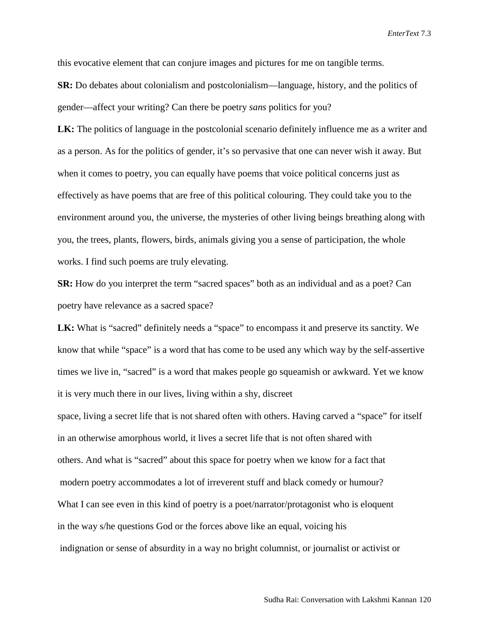this evocative element that can conjure images and pictures for me on tangible terms.

**SR:** Do debates about colonialism and postcolonialism—language, history, and the politics of gender—affect your writing? Can there be poetry *sans* politics for you?

**LK:** The politics of language in the postcolonial scenario definitely influence me as a writer and as a person. As for the politics of gender, it's so pervasive that one can never wish it away. But when it comes to poetry, you can equally have poems that voice political concerns just as effectively as have poems that are free of this political colouring. They could take you to the environment around you, the universe, the mysteries of other living beings breathing along with you, the trees, plants, flowers, birds, animals giving you a sense of participation, the whole works. I find such poems are truly elevating.

**SR:** How do you interpret the term "sacred spaces" both as an individual and as a poet? Can poetry have relevance as a sacred space?

LK: What is "sacred" definitely needs a "space" to encompass it and preserve its sanctity. We know that while "space" is a word that has come to be used any which way by the self-assertive times we live in, "sacred" is a word that makes people go squeamish or awkward. Yet we know it is very much there in our lives, living within a shy, discreet

space, living a secret life that is not shared often with others. Having carved a "space" for itself in an otherwise amorphous world, it lives a secret life that is not often shared with others. And what is "sacred" about this space for poetry when we know for a fact that modern poetry accommodates a lot of irreverent stuff and black comedy or humour? What I can see even in this kind of poetry is a poet/narrator/protagonist who is eloquent in the way s/he questions God or the forces above like an equal, voicing his indignation or sense of absurdity in a way no bright columnist, or journalist or activist or